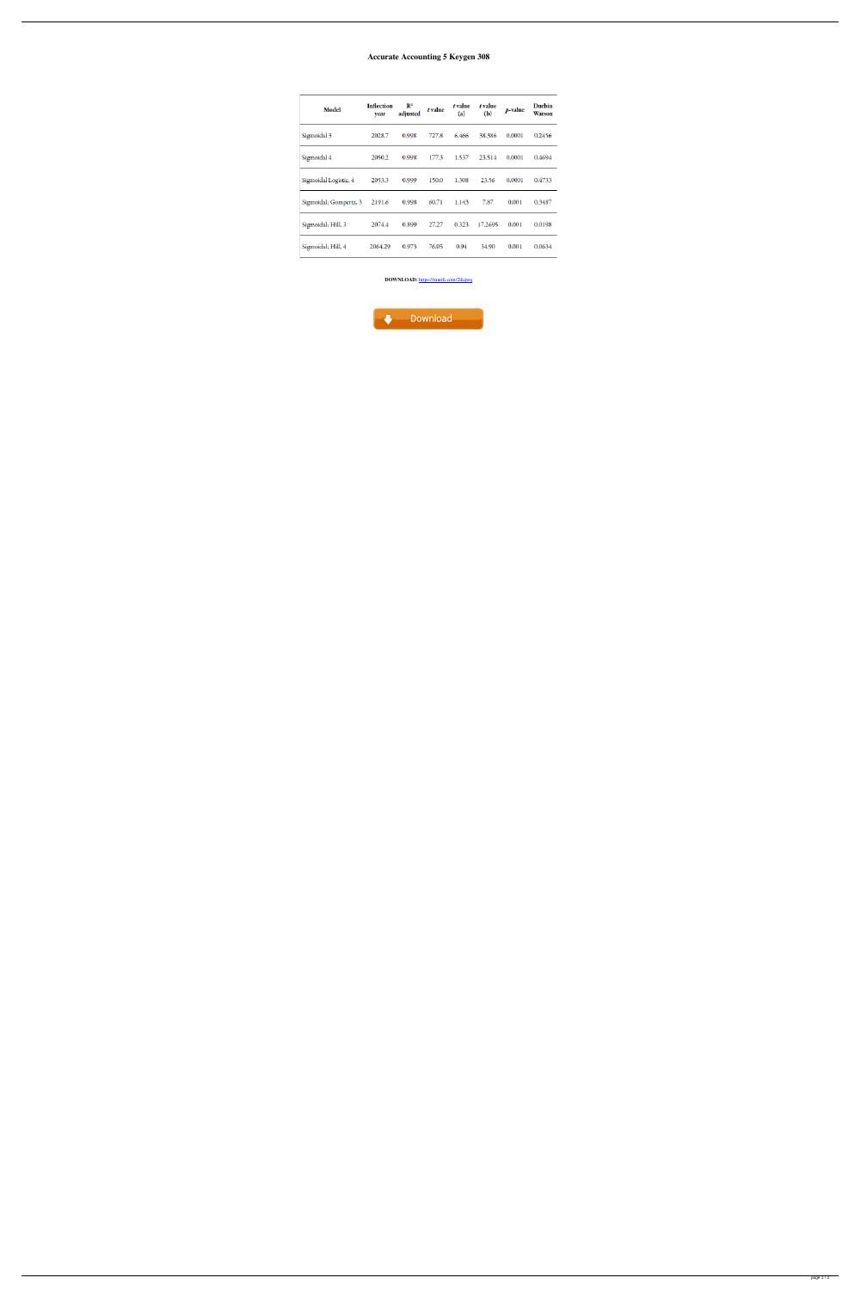## **Accurate Accounting 5 Keygen 308**

| Model                  | <b>Inflection</b><br>year | $\mathbb{R}^2$<br>adjusted | t value | t value<br>(a) | t value<br>(b) | p-value | Durbin<br><b>Watson</b> |
|------------------------|---------------------------|----------------------------|---------|----------------|----------------|---------|-------------------------|
| Sigmoidal 3            | 2028.7                    | 0.998                      | 727.8   | 6.466          | 38.386         | 0.0001  | 0.2456                  |
| Sigmoidal 4            | 2050.2                    | 0.998                      | 177.3   | 1.537          | 23.514         | 0.0001  | 0.4694                  |
| Sigmoidal Logistic, 4  | 2053.3                    | 0.999                      | 150.0   | 1.308          | 23.56          | 0.0001  | 0.4733                  |
| Sigmoidal; Gompertz, 3 | 2191.6                    | 0.998                      | 60.71   | 1.143          | 7.87           | 0.001   | 0.3487                  |
| Sigmoidal; Hill, 3     | 2074.4                    | 0.899                      | 27.27   | 0.323          | 17.2695        | 0.001   | 0.0198                  |
| Sigmoidal; Hill, 4     | 2064.29                   | 0.973                      | 76.05   | 0.94           | 34.90          | 0.001   | 0.0634                  |

DOWNLOAD: https://tinurli.com/2ikqwq